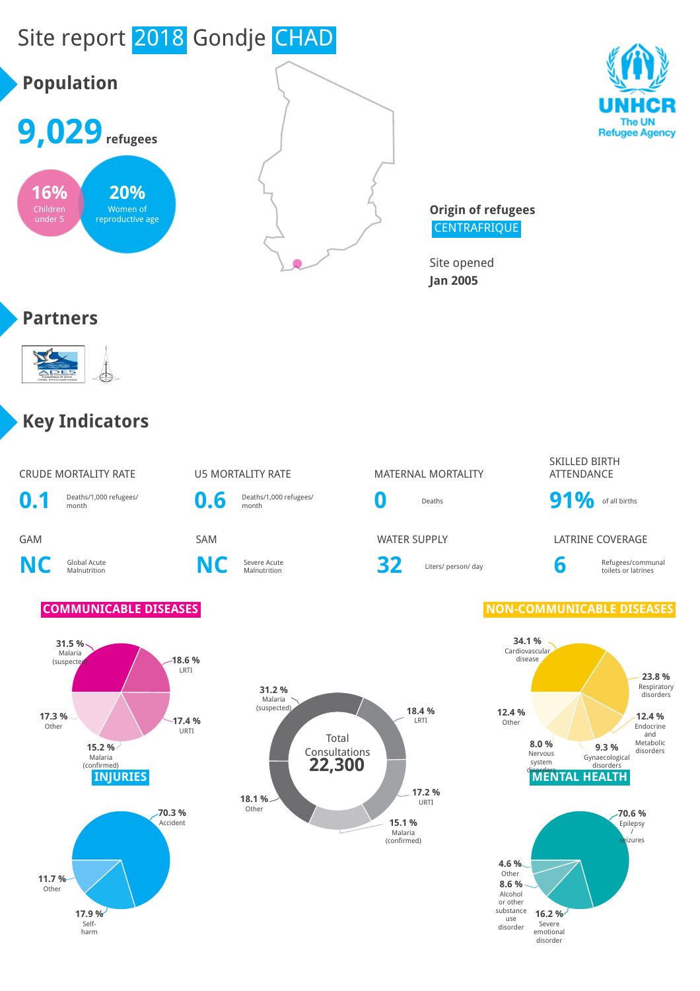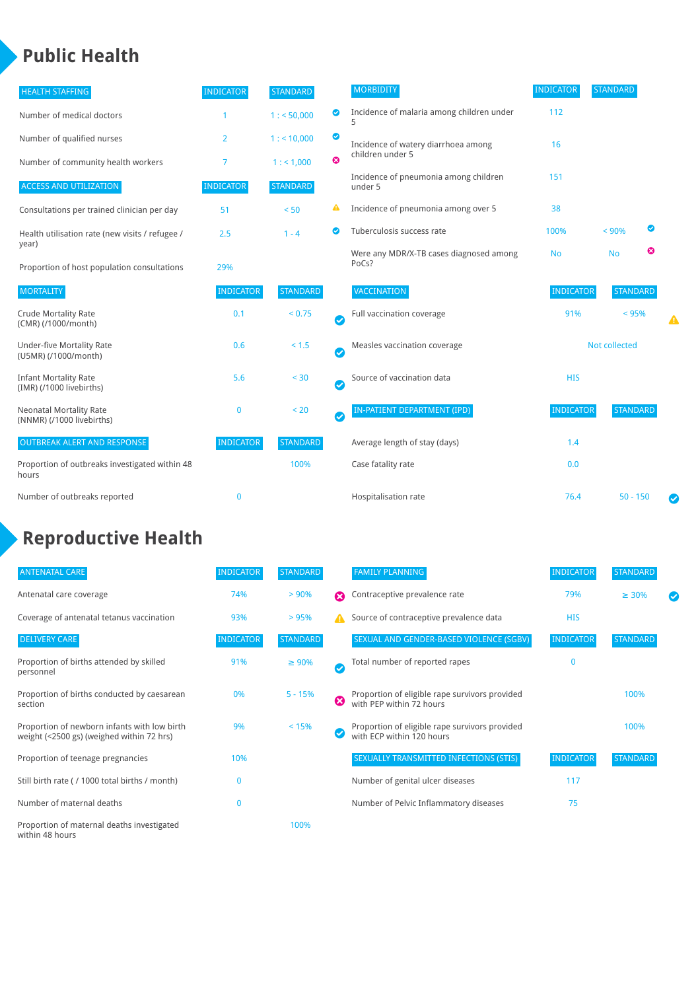## **Public Health**

| <b>HEALTH STAFFING</b>                                      | <b>INDICATOR</b> | <b>STANDARD</b> |                            | <b>MORBIDITY</b>                                 | <b>INDICATOR</b>     | <b>STANDARD</b> |   |   |
|-------------------------------------------------------------|------------------|-----------------|----------------------------|--------------------------------------------------|----------------------|-----------------|---|---|
| Number of medical doctors                                   |                  | 1: 50,000       | $\bullet$                  | Incidence of malaria among children under        | 112                  |                 |   |   |
| Number of qualified nurses                                  | 2                | 1:10,000        | $\bullet$                  | Incidence of watery diarrhoea among              | 16                   |                 |   |   |
| Number of community health workers                          | 7                | 1: 1,000        | $\boldsymbol{\Omega}$      | children under 5                                 |                      |                 |   |   |
| <b>ACCESS AND UTILIZATION</b>                               | <b>INDICATOR</b> | <b>STANDARD</b> |                            | Incidence of pneumonia among children<br>under 5 | 151                  |                 |   |   |
| Consultations per trained clinician per day                 | 51               | < 50            | ▲                          | Incidence of pneumonia among over 5              | 38                   |                 |   |   |
| Health utilisation rate (new visits / refugee /             | 2.5              | $1 - 4$         | $\bullet$                  | Tuberculosis success rate                        | 100%                 | < 90%           | ◙ |   |
| year)<br>Proportion of host population consultations        | 29%              |                 |                            | Were any MDR/X-TB cases diagnosed among<br>PoCs? | <b>No</b>            | <b>No</b>       | ೞ |   |
| <b>MORTALITY</b>                                            | <b>INDICATOR</b> | <b>STANDARD</b> |                            | VACCINATION                                      | <b>INDICATOR</b>     | <b>STANDARD</b> |   |   |
| <b>Crude Mortality Rate</b><br>(CMR) (/1000/month)          | 0.1              | < 0.75          | $\bullet$                  | Full vaccination coverage                        | 91%                  | < 95%           |   |   |
| <b>Under-five Mortality Rate</b><br>(U5MR) (/1000/month)    | 0.6              | $< 1.5$         | $\boldsymbol{\mathcal{C}}$ | Measles vaccination coverage                     | <b>Not collected</b> |                 |   |   |
| <b>Infant Mortality Rate</b><br>(IMR) (/1000 livebirths)    | 5.6              | $< 30$          | $\bullet$                  | Source of vaccination data                       | <b>HIS</b>           |                 |   |   |
| <b>Neonatal Mortality Rate</b><br>(NNMR) (/1000 livebirths) | $\bf{0}$         | < 20            | $\bm{\bm\omega}$           | <b>IN-PATIENT DEPARTMENT (IPD)</b>               | <b>INDICATOR</b>     | <b>STANDARD</b> |   |   |
| <b>OUTBREAK ALERT AND RESPONSE</b>                          | <b>INDICATOR</b> | <b>STANDARD</b> |                            | Average length of stay (days)                    | 1.4                  |                 |   |   |
| Proportion of outbreaks investigated within 48<br>hours     |                  | 100%            |                            | Case fatality rate                               | 0.0                  |                 |   |   |
| Number of outbreaks reported                                | $\bf{0}$         |                 |                            | Hospitalisation rate                             | 76.4                 | $50 - 150$      |   | Ø |

# **Reproductive Health**

| <b>ANTENATAL CARE</b>                                                                     | <b>INDICATOR</b> | <b>STANDARD</b> |   | <b>FAMILY PLANNING</b>                                                      | <b>INDICATOR</b> | <b>STANDARD</b> |  |
|-------------------------------------------------------------------------------------------|------------------|-----------------|---|-----------------------------------------------------------------------------|------------------|-----------------|--|
| Antenatal care coverage                                                                   | 74%              | > 90%           | Ω | Contraceptive prevalence rate                                               | 79%              | $\geq 30\%$     |  |
| Coverage of antenatal tetanus vaccination                                                 | 93%              | >95%            |   | Source of contraceptive prevalence data                                     | <b>HIS</b>       |                 |  |
| <b>DELIVERY CARE</b>                                                                      | <b>INDICATOR</b> | <b>STANDARD</b> |   | SEXUAL AND GENDER-BASED VIOLENCE (SGBV)                                     | <b>INDICATOR</b> | <b>STANDARD</b> |  |
| Proportion of births attended by skilled<br>personnel                                     | 91%              | $\geq 90\%$     |   | Total number of reported rapes                                              | $\mathbf{0}$     |                 |  |
| Proportion of births conducted by caesarean<br>section                                    | 0%               | $5 - 15%$       | ೞ | Proportion of eligible rape survivors provided<br>with PEP within 72 hours  |                  | 100%            |  |
| Proportion of newborn infants with low birth<br>weight (<2500 gs) (weighed within 72 hrs) | 9%               | < 15%           |   | Proportion of eligible rape survivors provided<br>with ECP within 120 hours |                  | 100%            |  |
| Proportion of teenage pregnancies                                                         | 10%              |                 |   | SEXUALLY TRANSMITTED INFECTIONS (STIS)                                      | <b>INDICATOR</b> | <b>STANDARD</b> |  |
| Still birth rate (/ 1000 total births / month)                                            | n                |                 |   | Number of genital ulcer diseases                                            | 117              |                 |  |
| Number of maternal deaths                                                                 | 0                |                 |   | Number of Pelvic Inflammatory diseases                                      | 75               |                 |  |
| Proportion of maternal deaths investigated<br>within 48 hours                             |                  | 100%            |   |                                                                             |                  |                 |  |